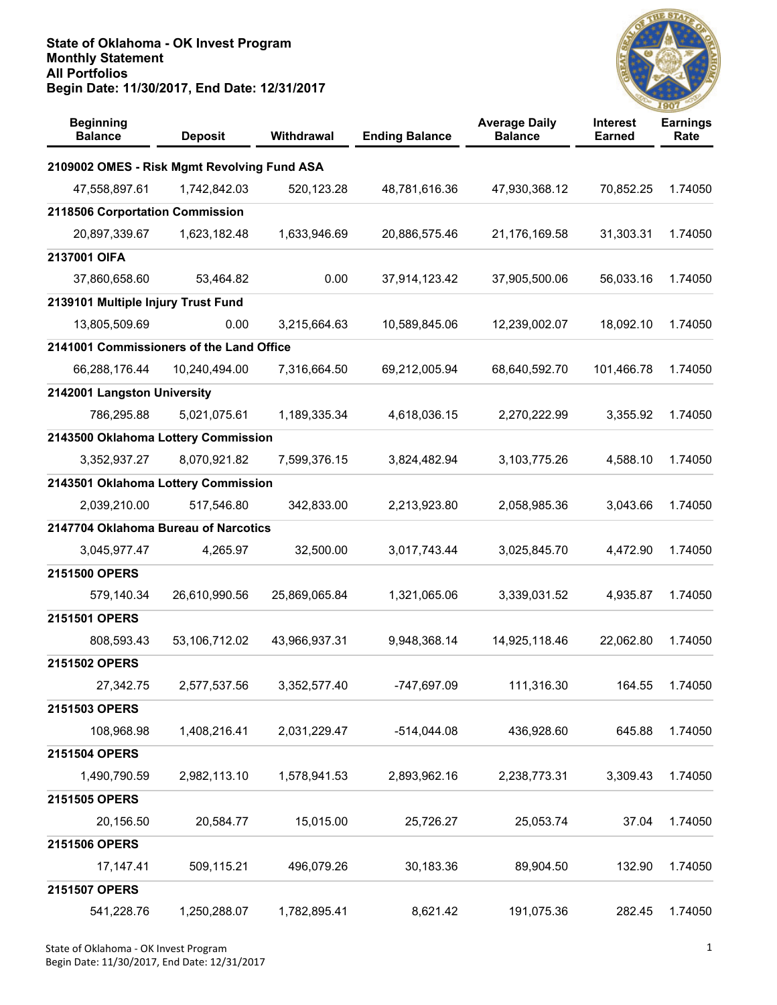

| <b>Beginning</b><br><b>Balance</b>          | <b>Deposit</b> | Withdrawal    | <b>Ending Balance</b> | <b>Average Daily</b><br><b>Balance</b> | <b>Interest</b><br><b>Earned</b> | <b>Earnings</b><br>Rate |
|---------------------------------------------|----------------|---------------|-----------------------|----------------------------------------|----------------------------------|-------------------------|
| 2109002 OMES - Risk Mgmt Revolving Fund ASA |                |               |                       |                                        |                                  |                         |
| 47,558,897.61                               | 1,742,842.03   | 520,123.28    | 48,781,616.36         | 47,930,368.12                          | 70,852.25                        | 1.74050                 |
| 2118506 Corportation Commission             |                |               |                       |                                        |                                  |                         |
| 20,897,339.67                               | 1,623,182.48   | 1,633,946.69  | 20,886,575.46         | 21,176,169.58                          | 31,303.31                        | 1.74050                 |
| 2137001 OIFA                                |                |               |                       |                                        |                                  |                         |
| 37,860,658.60                               | 53,464.82      | 0.00          | 37,914,123.42         | 37,905,500.06                          | 56,033.16                        | 1.74050                 |
| 2139101 Multiple Injury Trust Fund          |                |               |                       |                                        |                                  |                         |
| 13,805,509.69                               | 0.00           | 3,215,664.63  | 10,589,845.06         | 12,239,002.07                          | 18,092.10                        | 1.74050                 |
| 2141001 Commissioners of the Land Office    |                |               |                       |                                        |                                  |                         |
| 66,288,176.44                               | 10,240,494.00  | 7,316,664.50  | 69,212,005.94         | 68,640,592.70                          | 101,466.78                       | 1.74050                 |
| 2142001 Langston University                 |                |               |                       |                                        |                                  |                         |
| 786,295.88                                  | 5,021,075.61   | 1,189,335.34  | 4,618,036.15          | 2,270,222.99                           | 3,355.92                         | 1.74050                 |
| 2143500 Oklahoma Lottery Commission         |                |               |                       |                                        |                                  |                         |
| 3,352,937.27                                | 8,070,921.82   | 7,599,376.15  | 3,824,482.94          | 3,103,775.26                           | 4,588.10                         | 1.74050                 |
| 2143501 Oklahoma Lottery Commission         |                |               |                       |                                        |                                  |                         |
| 2,039,210.00                                | 517,546.80     | 342,833.00    | 2,213,923.80          | 2,058,985.36                           | 3,043.66                         | 1.74050                 |
| 2147704 Oklahoma Bureau of Narcotics        |                |               |                       |                                        |                                  |                         |
| 3,045,977.47                                | 4,265.97       | 32,500.00     | 3,017,743.44          | 3,025,845.70                           | 4,472.90                         | 1.74050                 |
| 2151500 OPERS                               |                |               |                       |                                        |                                  |                         |
| 579,140.34                                  | 26,610,990.56  | 25,869,065.84 | 1,321,065.06          | 3,339,031.52                           | 4,935.87                         | 1.74050                 |
| 2151501 OPERS                               |                |               |                       |                                        |                                  |                         |
| 808,593.43                                  | 53,106,712.02  | 43,966,937.31 | 9,948,368.14          | 14,925,118.46                          | 22,062.80                        | 1.74050                 |
| 2151502 OPERS                               |                |               |                       |                                        |                                  |                         |
| 27,342.75                                   | 2,577,537.56   | 3,352,577.40  | -747,697.09           | 111,316.30                             | 164.55                           | 1.74050                 |
| 2151503 OPERS                               |                |               |                       |                                        |                                  |                         |
| 108,968.98                                  | 1,408,216.41   | 2,031,229.47  | $-514,044.08$         | 436,928.60                             | 645.88                           | 1.74050                 |
| 2151504 OPERS                               |                |               |                       |                                        |                                  |                         |
| 1,490,790.59                                | 2,982,113.10   | 1,578,941.53  | 2,893,962.16          | 2,238,773.31                           | 3,309.43                         | 1.74050                 |
| 2151505 OPERS                               |                |               |                       |                                        |                                  |                         |
| 20,156.50                                   | 20,584.77      | 15,015.00     | 25,726.27             | 25,053.74                              | 37.04                            | 1.74050                 |
| 2151506 OPERS                               |                |               |                       |                                        |                                  |                         |
| 17, 147. 41                                 | 509,115.21     | 496,079.26    | 30,183.36             | 89,904.50                              | 132.90                           | 1.74050                 |
| 2151507 OPERS                               |                |               |                       |                                        |                                  |                         |
| 541,228.76                                  | 1,250,288.07   | 1,782,895.41  | 8,621.42              | 191,075.36                             | 282.45                           | 1.74050                 |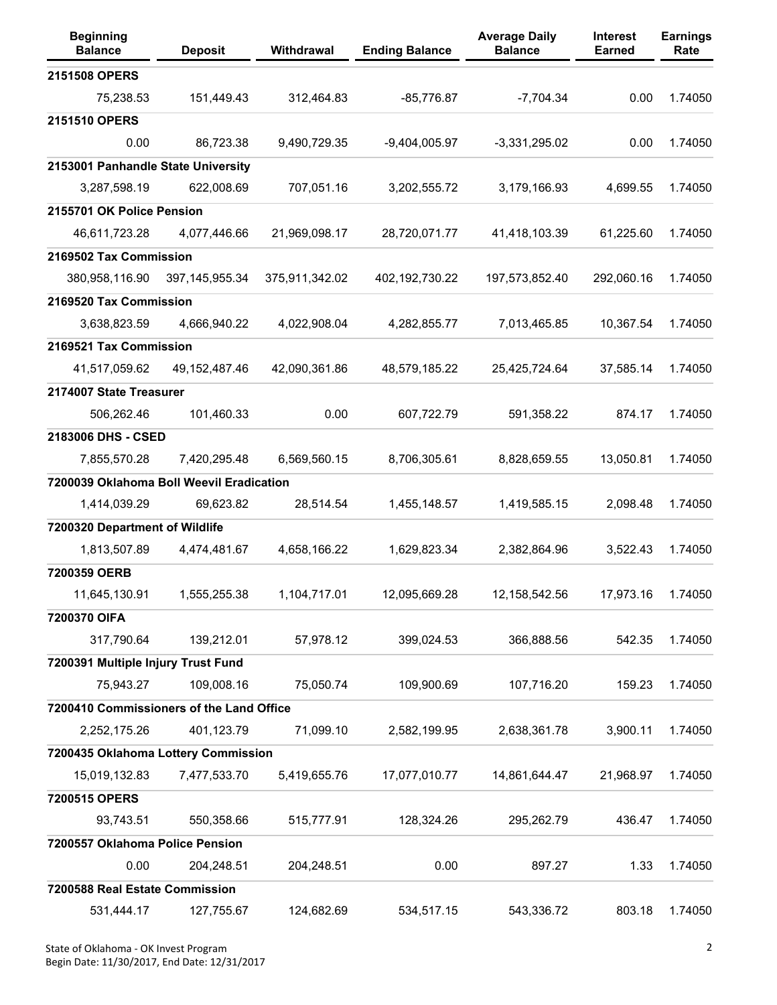| <b>Beginning</b><br><b>Balance</b>       | <b>Deposit</b>    | Withdrawal     | <b>Ending Balance</b> | <b>Average Daily</b><br><b>Balance</b> | <b>Interest</b><br><b>Earned</b> | <b>Earnings</b><br>Rate |
|------------------------------------------|-------------------|----------------|-----------------------|----------------------------------------|----------------------------------|-------------------------|
| 2151508 OPERS                            |                   |                |                       |                                        |                                  |                         |
| 75,238.53                                | 151,449.43        | 312,464.83     | $-85,776.87$          | $-7,704.34$                            | 0.00                             | 1.74050                 |
| 2151510 OPERS                            |                   |                |                       |                                        |                                  |                         |
| 0.00                                     | 86,723.38         | 9,490,729.35   | $-9,404,005.97$       | $-3,331,295.02$                        | 0.00                             | 1.74050                 |
| 2153001 Panhandle State University       |                   |                |                       |                                        |                                  |                         |
| 3,287,598.19                             | 622,008.69        | 707,051.16     | 3,202,555.72          | 3,179,166.93                           | 4,699.55                         | 1.74050                 |
| 2155701 OK Police Pension                |                   |                |                       |                                        |                                  |                         |
| 46,611,723.28                            | 4,077,446.66      | 21,969,098.17  | 28,720,071.77         | 41,418,103.39                          | 61,225.60                        | 1.74050                 |
| 2169502 Tax Commission                   |                   |                |                       |                                        |                                  |                         |
| 380,958,116.90                           | 397, 145, 955. 34 | 375,911,342.02 | 402,192,730.22        | 197,573,852.40                         | 292,060.16                       | 1.74050                 |
| 2169520 Tax Commission                   |                   |                |                       |                                        |                                  |                         |
| 3,638,823.59                             | 4,666,940.22      | 4,022,908.04   | 4,282,855.77          | 7,013,465.85                           | 10,367.54                        | 1.74050                 |
| 2169521 Tax Commission                   |                   |                |                       |                                        |                                  |                         |
| 41,517,059.62                            | 49, 152, 487. 46  | 42,090,361.86  | 48,579,185.22         | 25,425,724.64                          | 37,585.14                        | 1.74050                 |
| 2174007 State Treasurer                  |                   |                |                       |                                        |                                  |                         |
| 506,262.46                               | 101,460.33        | 0.00           | 607,722.79            | 591,358.22                             | 874.17                           | 1.74050                 |
| 2183006 DHS - CSED                       |                   |                |                       |                                        |                                  |                         |
| 7,855,570.28                             | 7,420,295.48      | 6,569,560.15   | 8,706,305.61          | 8,828,659.55                           | 13,050.81                        | 1.74050                 |
| 7200039 Oklahoma Boll Weevil Eradication |                   |                |                       |                                        |                                  |                         |
| 1,414,039.29                             | 69,623.82         | 28,514.54      | 1,455,148.57          | 1,419,585.15                           | 2,098.48                         | 1.74050                 |
| 7200320 Department of Wildlife           |                   |                |                       |                                        |                                  |                         |
| 1,813,507.89                             | 4,474,481.67      | 4,658,166.22   | 1,629,823.34          | 2,382,864.96                           | 3,522.43                         | 1.74050                 |
| 7200359 OERB                             |                   |                |                       |                                        |                                  |                         |
| 11,645,130.91                            | 1,555,255.38      | 1,104,717.01   | 12,095,669.28         | 12,158,542.56                          | 17,973.16                        | 1.74050                 |
| 7200370 OIFA                             |                   |                |                       |                                        |                                  |                         |
| 317,790.64                               | 139,212.01        | 57,978.12      | 399,024.53            | 366,888.56                             | 542.35                           | 1.74050                 |
| 7200391 Multiple Injury Trust Fund       |                   |                |                       |                                        |                                  |                         |
| 75,943.27                                | 109,008.16        | 75,050.74      | 109,900.69            | 107,716.20                             | 159.23                           | 1.74050                 |
| 7200410 Commissioners of the Land Office |                   |                |                       |                                        |                                  |                         |
| 2,252,175.26                             | 401,123.79        | 71,099.10      | 2,582,199.95          | 2,638,361.78                           | 3,900.11                         | 1.74050                 |
| 7200435 Oklahoma Lottery Commission      |                   |                |                       |                                        |                                  |                         |
| 15,019,132.83                            | 7,477,533.70      | 5,419,655.76   | 17,077,010.77         | 14,861,644.47                          | 21,968.97                        | 1.74050                 |
| 7200515 OPERS                            |                   |                |                       |                                        |                                  |                         |
| 93,743.51                                | 550,358.66        | 515,777.91     | 128,324.26            | 295,262.79                             | 436.47                           | 1.74050                 |
| 7200557 Oklahoma Police Pension          |                   |                |                       |                                        |                                  |                         |
| 0.00                                     | 204,248.51        | 204,248.51     | 0.00                  | 897.27                                 | 1.33                             | 1.74050                 |
| 7200588 Real Estate Commission           |                   |                |                       |                                        |                                  |                         |
| 531,444.17                               | 127,755.67        | 124,682.69     | 534,517.15            | 543,336.72                             | 803.18                           | 1.74050                 |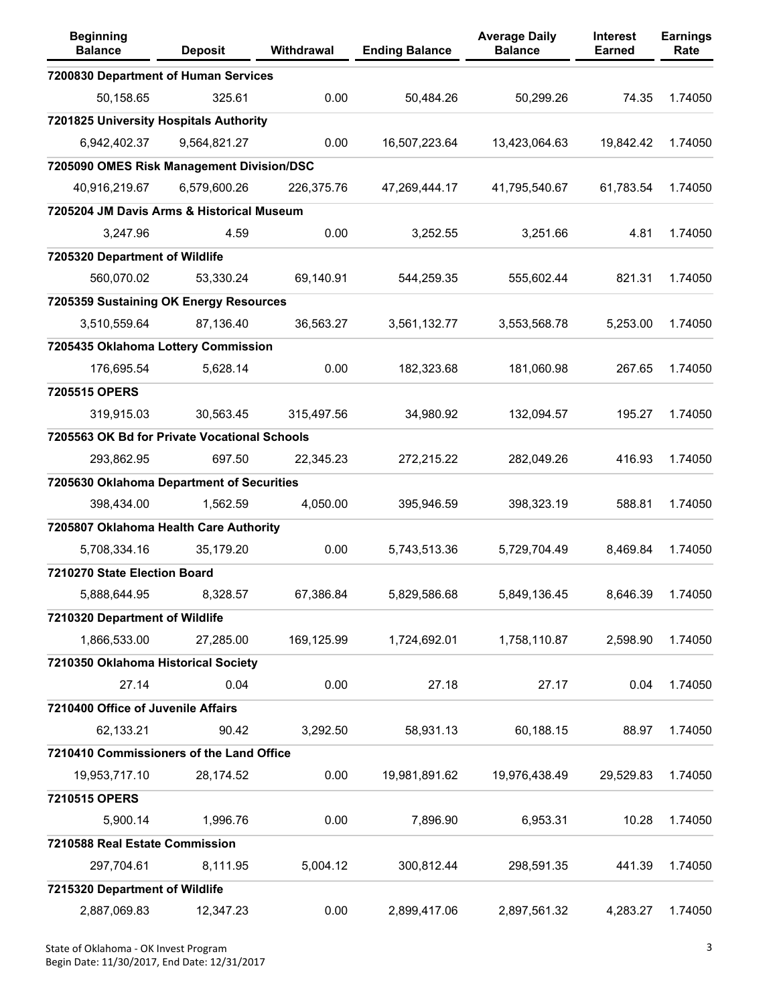| <b>Beginning</b><br><b>Balance</b>           | <b>Deposit</b> | Withdrawal | <b>Ending Balance</b> | <b>Average Daily</b><br><b>Balance</b> | Interest<br><b>Earned</b> | <b>Earnings</b><br>Rate |
|----------------------------------------------|----------------|------------|-----------------------|----------------------------------------|---------------------------|-------------------------|
| 7200830 Department of Human Services         |                |            |                       |                                        |                           |                         |
| 50,158.65                                    | 325.61         | 0.00       | 50,484.26             | 50,299.26                              | 74.35                     | 1.74050                 |
| 7201825 University Hospitals Authority       |                |            |                       |                                        |                           |                         |
| 6,942,402.37                                 | 9,564,821.27   | 0.00       | 16,507,223.64         | 13,423,064.63                          | 19,842.42                 | 1.74050                 |
| 7205090 OMES Risk Management Division/DSC    |                |            |                       |                                        |                           |                         |
| 40,916,219.67                                | 6,579,600.26   | 226,375.76 | 47,269,444.17         | 41,795,540.67                          | 61,783.54                 | 1.74050                 |
| 7205204 JM Davis Arms & Historical Museum    |                |            |                       |                                        |                           |                         |
| 3,247.96                                     | 4.59           | 0.00       | 3,252.55              | 3,251.66                               | 4.81                      | 1.74050                 |
| 7205320 Department of Wildlife               |                |            |                       |                                        |                           |                         |
| 560,070.02                                   | 53,330.24      | 69,140.91  | 544,259.35            | 555,602.44                             | 821.31                    | 1.74050                 |
| 7205359 Sustaining OK Energy Resources       |                |            |                       |                                        |                           |                         |
| 3,510,559.64                                 | 87,136.40      | 36,563.27  | 3,561,132.77          | 3,553,568.78                           | 5,253.00                  | 1.74050                 |
| 7205435 Oklahoma Lottery Commission          |                |            |                       |                                        |                           |                         |
| 176,695.54                                   | 5,628.14       | 0.00       | 182,323.68            | 181,060.98                             | 267.65                    | 1.74050                 |
| 7205515 OPERS                                |                |            |                       |                                        |                           |                         |
| 319,915.03                                   | 30,563.45      | 315,497.56 | 34,980.92             | 132,094.57                             | 195.27                    | 1.74050                 |
| 7205563 OK Bd for Private Vocational Schools |                |            |                       |                                        |                           |                         |
| 293,862.95                                   | 697.50         | 22,345.23  | 272,215.22            | 282,049.26                             | 416.93                    | 1.74050                 |
| 7205630 Oklahoma Department of Securities    |                |            |                       |                                        |                           |                         |
| 398,434.00                                   | 1,562.59       | 4,050.00   | 395,946.59            | 398,323.19                             | 588.81                    | 1.74050                 |
| 7205807 Oklahoma Health Care Authority       |                |            |                       |                                        |                           |                         |
| 5,708,334.16                                 | 35,179.20      | 0.00       | 5,743,513.36          | 5,729,704.49                           | 8,469.84                  | 1.74050                 |
| 7210270 State Election Board                 |                |            |                       |                                        |                           |                         |
| 5,888,644.95                                 | 8,328.57       | 67,386.84  | 5,829,586.68          | 5,849,136.45                           | 8,646.39                  | 1.74050                 |
| 7210320 Department of Wildlife               |                |            |                       |                                        |                           |                         |
| 1,866,533.00                                 | 27,285.00      | 169,125.99 | 1,724,692.01          | 1,758,110.87                           | 2,598.90                  | 1.74050                 |
| 7210350 Oklahoma Historical Society          |                |            |                       |                                        |                           |                         |
| 27.14                                        | 0.04           | 0.00       | 27.18                 | 27.17                                  | 0.04                      | 1.74050                 |
| 7210400 Office of Juvenile Affairs           |                |            |                       |                                        |                           |                         |
| 62,133.21                                    | 90.42          | 3,292.50   | 58,931.13             | 60,188.15                              | 88.97                     | 1.74050                 |
| 7210410 Commissioners of the Land Office     |                |            |                       |                                        |                           |                         |
| 19,953,717.10                                | 28,174.52      | 0.00       | 19,981,891.62         | 19,976,438.49                          | 29,529.83                 | 1.74050                 |
| 7210515 OPERS                                |                |            |                       |                                        |                           |                         |
| 5,900.14                                     | 1,996.76       | 0.00       | 7,896.90              | 6,953.31                               | 10.28                     | 1.74050                 |
| 7210588 Real Estate Commission               |                |            |                       |                                        |                           |                         |
| 297,704.61                                   | 8,111.95       | 5,004.12   | 300,812.44            | 298,591.35                             | 441.39                    | 1.74050                 |
| 7215320 Department of Wildlife               |                |            |                       |                                        |                           |                         |
| 2,887,069.83                                 | 12,347.23      | 0.00       | 2,899,417.06          | 2,897,561.32                           | 4,283.27                  | 1.74050                 |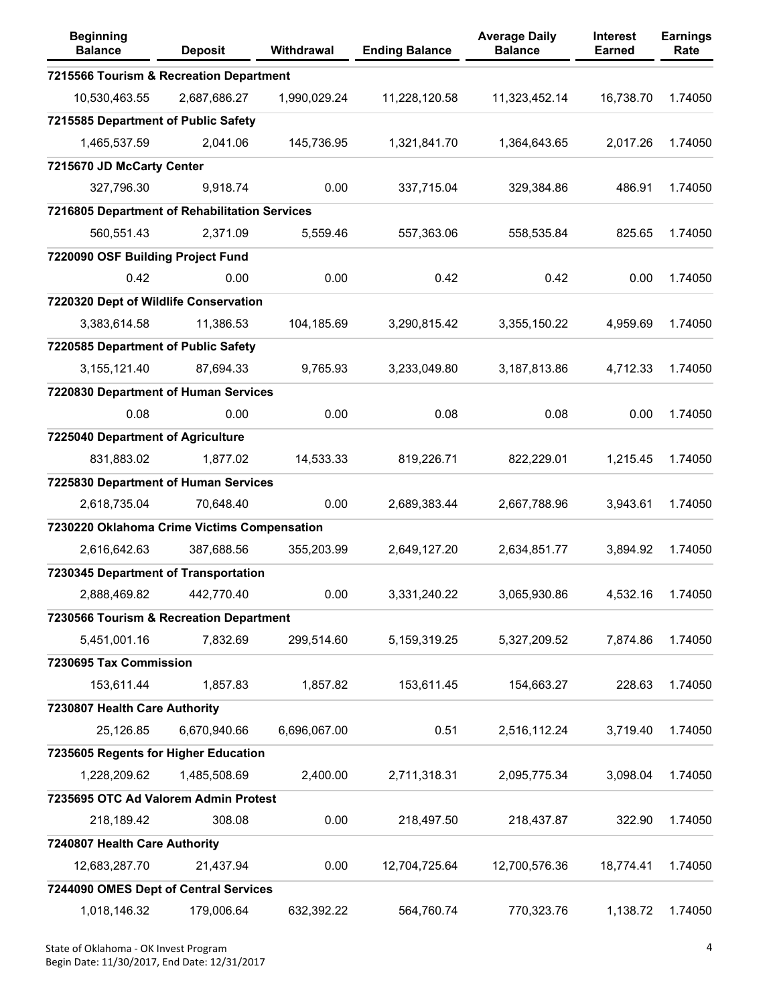| <b>Beginning</b><br><b>Balance</b>            | <b>Deposit</b> | Withdrawal   | <b>Ending Balance</b> | <b>Average Daily</b><br><b>Balance</b> | <b>Interest</b><br><b>Earned</b> | <b>Earnings</b><br>Rate |
|-----------------------------------------------|----------------|--------------|-----------------------|----------------------------------------|----------------------------------|-------------------------|
| 7215566 Tourism & Recreation Department       |                |              |                       |                                        |                                  |                         |
| 10,530,463.55                                 | 2,687,686.27   | 1,990,029.24 | 11,228,120.58         | 11,323,452.14                          | 16,738.70                        | 1.74050                 |
| 7215585 Department of Public Safety           |                |              |                       |                                        |                                  |                         |
| 1,465,537.59                                  | 2,041.06       | 145,736.95   | 1,321,841.70          | 1,364,643.65                           | 2,017.26                         | 1.74050                 |
| 7215670 JD McCarty Center                     |                |              |                       |                                        |                                  |                         |
| 327,796.30                                    | 9,918.74       | 0.00         | 337,715.04            | 329,384.86                             | 486.91                           | 1.74050                 |
| 7216805 Department of Rehabilitation Services |                |              |                       |                                        |                                  |                         |
| 560,551.43                                    | 2,371.09       | 5,559.46     | 557,363.06            | 558,535.84                             | 825.65                           | 1.74050                 |
| 7220090 OSF Building Project Fund             |                |              |                       |                                        |                                  |                         |
| 0.42                                          | 0.00           | 0.00         | 0.42                  | 0.42                                   | 0.00                             | 1.74050                 |
| 7220320 Dept of Wildlife Conservation         |                |              |                       |                                        |                                  |                         |
| 3,383,614.58                                  | 11,386.53      | 104,185.69   | 3,290,815.42          | 3,355,150.22                           | 4,959.69                         | 1.74050                 |
| 7220585 Department of Public Safety           |                |              |                       |                                        |                                  |                         |
| 3, 155, 121.40                                | 87,694.33      | 9,765.93     | 3,233,049.80          | 3,187,813.86                           | 4,712.33                         | 1.74050                 |
| 7220830 Department of Human Services          |                |              |                       |                                        |                                  |                         |
| 0.08                                          | 0.00           | 0.00         | 0.08                  | 0.08                                   | 0.00                             | 1.74050                 |
| 7225040 Department of Agriculture             |                |              |                       |                                        |                                  |                         |
| 831,883.02                                    | 1,877.02       | 14,533.33    | 819,226.71            | 822,229.01                             | 1,215.45                         | 1.74050                 |
| 7225830 Department of Human Services          |                |              |                       |                                        |                                  |                         |
| 2,618,735.04                                  | 70,648.40      | 0.00         | 2,689,383.44          | 2,667,788.96                           | 3,943.61                         | 1.74050                 |
| 7230220 Oklahoma Crime Victims Compensation   |                |              |                       |                                        |                                  |                         |
| 2,616,642.63                                  | 387,688.56     | 355,203.99   | 2,649,127.20          | 2,634,851.77                           | 3,894.92                         | 1.74050                 |
| 7230345 Department of Transportation          |                |              |                       |                                        |                                  |                         |
| 2,888,469.82                                  | 442,770.40     | 0.00         | 3,331,240.22          | 3,065,930.86                           | 4,532.16                         | 1.74050                 |
| 7230566 Tourism & Recreation Department       |                |              |                       |                                        |                                  |                         |
| 5,451,001.16                                  | 7,832.69       | 299,514.60   | 5,159,319.25          | 5,327,209.52                           | 7,874.86                         | 1.74050                 |
| 7230695 Tax Commission                        |                |              |                       |                                        |                                  |                         |
| 153,611.44                                    | 1,857.83       | 1,857.82     | 153,611.45            | 154,663.27                             | 228.63                           | 1.74050                 |
| 7230807 Health Care Authority                 |                |              |                       |                                        |                                  |                         |
| 25,126.85                                     | 6,670,940.66   | 6,696,067.00 | 0.51                  | 2,516,112.24                           | 3,719.40                         | 1.74050                 |
| 7235605 Regents for Higher Education          |                |              |                       |                                        |                                  |                         |
| 1,228,209.62                                  | 1,485,508.69   | 2,400.00     | 2,711,318.31          | 2,095,775.34                           | 3,098.04                         | 1.74050                 |
| 7235695 OTC Ad Valorem Admin Protest          |                |              |                       |                                        |                                  |                         |
| 218,189.42                                    | 308.08         | 0.00         | 218,497.50            | 218,437.87                             | 322.90                           | 1.74050                 |
| 7240807 Health Care Authority                 |                |              |                       |                                        |                                  |                         |
| 12,683,287.70                                 | 21,437.94      | 0.00         | 12,704,725.64         | 12,700,576.36                          | 18,774.41                        | 1.74050                 |
| 7244090 OMES Dept of Central Services         |                |              |                       |                                        |                                  |                         |
| 1,018,146.32                                  | 179,006.64     | 632,392.22   | 564,760.74            | 770,323.76                             | 1,138.72                         | 1.74050                 |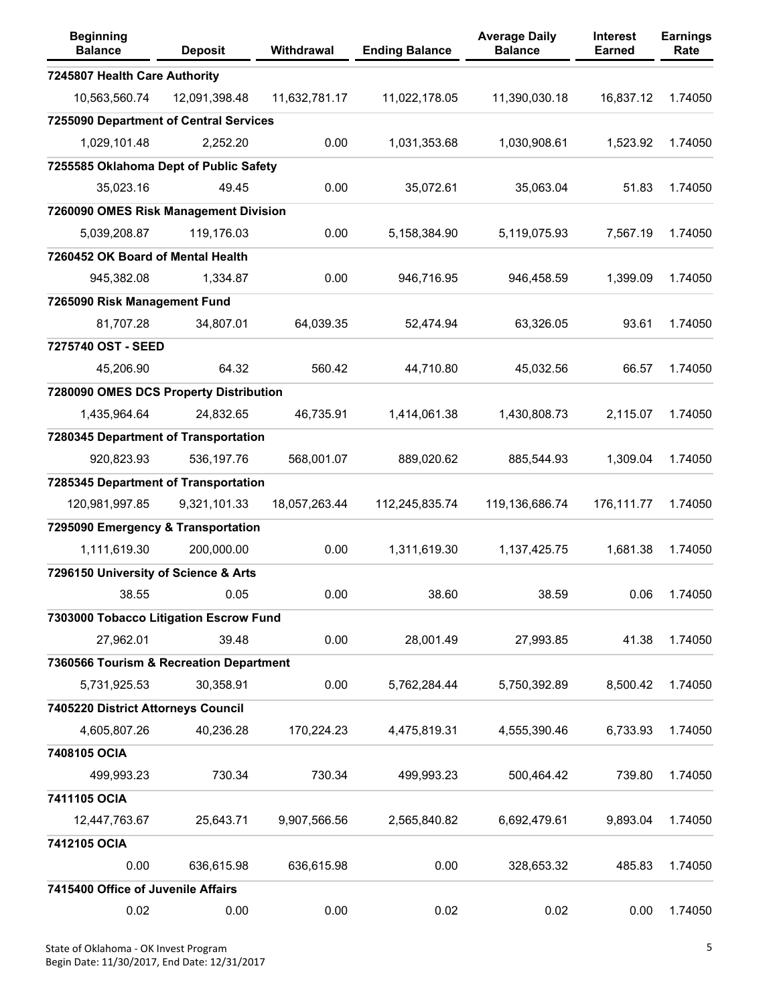| <b>Beginning</b><br><b>Balance</b>      | <b>Deposit</b> | Withdrawal    | <b>Ending Balance</b> | <b>Average Daily</b><br><b>Balance</b> | <b>Interest</b><br><b>Earned</b> | <b>Earnings</b><br>Rate |
|-----------------------------------------|----------------|---------------|-----------------------|----------------------------------------|----------------------------------|-------------------------|
| 7245807 Health Care Authority           |                |               |                       |                                        |                                  |                         |
| 10,563,560.74                           | 12,091,398.48  | 11,632,781.17 | 11,022,178.05         | 11,390,030.18                          | 16,837.12                        | 1.74050                 |
| 7255090 Department of Central Services  |                |               |                       |                                        |                                  |                         |
| 1,029,101.48                            | 2,252.20       | 0.00          | 1,031,353.68          | 1,030,908.61                           | 1,523.92                         | 1.74050                 |
| 7255585 Oklahoma Dept of Public Safety  |                |               |                       |                                        |                                  |                         |
| 35,023.16                               | 49.45          | 0.00          | 35,072.61             | 35,063.04                              | 51.83                            | 1.74050                 |
| 7260090 OMES Risk Management Division   |                |               |                       |                                        |                                  |                         |
| 5,039,208.87                            | 119,176.03     | 0.00          | 5,158,384.90          | 5,119,075.93                           | 7,567.19                         | 1.74050                 |
| 7260452 OK Board of Mental Health       |                |               |                       |                                        |                                  |                         |
| 945,382.08                              | 1,334.87       | 0.00          | 946,716.95            | 946,458.59                             | 1,399.09                         | 1.74050                 |
| 7265090 Risk Management Fund            |                |               |                       |                                        |                                  |                         |
| 81,707.28                               | 34,807.01      | 64,039.35     | 52,474.94             | 63,326.05                              | 93.61                            | 1.74050                 |
| 7275740 OST - SEED                      |                |               |                       |                                        |                                  |                         |
| 45,206.90                               | 64.32          | 560.42        | 44,710.80             | 45,032.56                              | 66.57                            | 1.74050                 |
| 7280090 OMES DCS Property Distribution  |                |               |                       |                                        |                                  |                         |
| 1,435,964.64                            | 24,832.65      | 46,735.91     | 1,414,061.38          | 1,430,808.73                           | 2,115.07                         | 1.74050                 |
| 7280345 Department of Transportation    |                |               |                       |                                        |                                  |                         |
| 920,823.93                              | 536,197.76     | 568,001.07    | 889,020.62            | 885,544.93                             | 1,309.04                         | 1.74050                 |
| 7285345 Department of Transportation    |                |               |                       |                                        |                                  |                         |
| 120,981,997.85                          | 9,321,101.33   | 18,057,263.44 | 112,245,835.74        | 119,136,686.74                         | 176,111.77                       | 1.74050                 |
| 7295090 Emergency & Transportation      |                |               |                       |                                        |                                  |                         |
| 1,111,619.30                            | 200,000.00     | 0.00          | 1,311,619.30          | 1,137,425.75                           | 1,681.38                         | 1.74050                 |
| 7296150 University of Science & Arts    |                |               |                       |                                        |                                  |                         |
| 38.55                                   | 0.05           | 0.00          | 38.60                 | 38.59                                  | 0.06                             | 1.74050                 |
| 7303000 Tobacco Litigation Escrow Fund  |                |               |                       |                                        |                                  |                         |
| 27,962.01                               | 39.48          | 0.00          | 28,001.49             | 27,993.85                              | 41.38                            | 1.74050                 |
| 7360566 Tourism & Recreation Department |                |               |                       |                                        |                                  |                         |
| 5,731,925.53                            | 30,358.91      | 0.00          | 5,762,284.44          | 5,750,392.89                           | 8,500.42                         | 1.74050                 |
| 7405220 District Attorneys Council      |                |               |                       |                                        |                                  |                         |
| 4,605,807.26                            | 40,236.28      | 170,224.23    | 4,475,819.31          | 4,555,390.46                           | 6,733.93                         | 1.74050                 |
| 7408105 OCIA                            |                |               |                       |                                        |                                  |                         |
| 499,993.23                              | 730.34         | 730.34        | 499,993.23            | 500,464.42                             | 739.80                           | 1.74050                 |
| 7411105 OCIA                            |                |               |                       |                                        |                                  |                         |
| 12,447,763.67                           | 25,643.71      | 9,907,566.56  | 2,565,840.82          | 6,692,479.61                           | 9,893.04                         | 1.74050                 |
| 7412105 OCIA                            |                |               |                       |                                        |                                  |                         |
| 0.00                                    | 636,615.98     | 636,615.98    | 0.00                  | 328,653.32                             | 485.83                           | 1.74050                 |
| 7415400 Office of Juvenile Affairs      |                |               |                       |                                        |                                  |                         |
| 0.02                                    | 0.00           | 0.00          | 0.02                  | 0.02                                   | 0.00                             | 1.74050                 |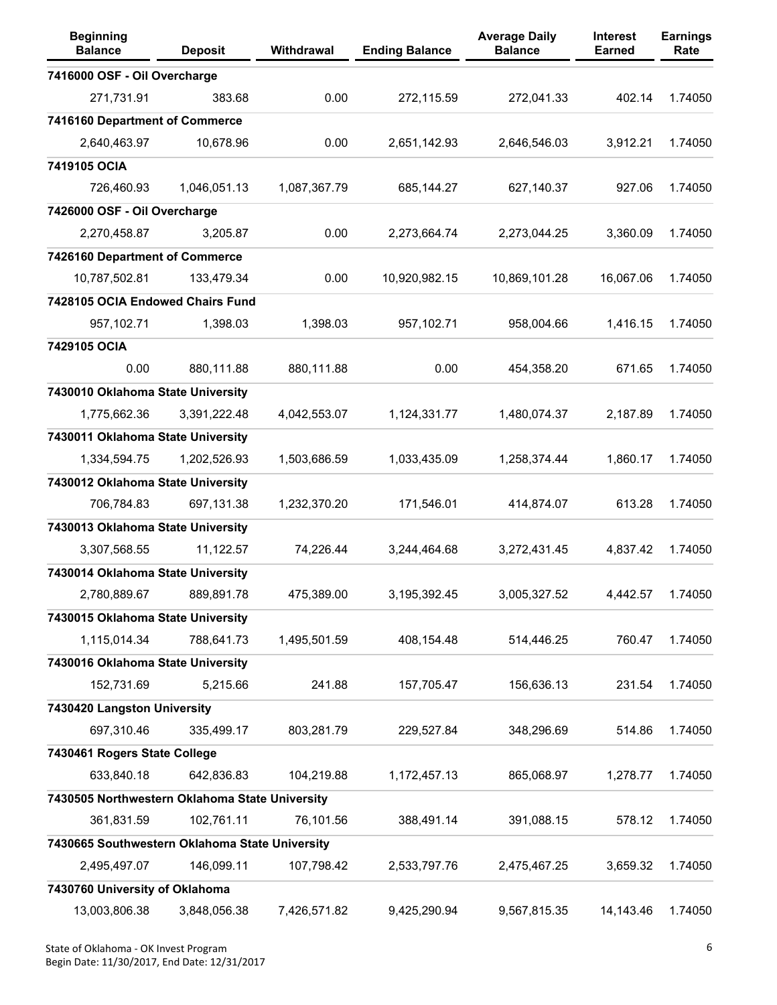| <b>Beginning</b><br><b>Balance</b>             | <b>Deposit</b> | Withdrawal   | <b>Ending Balance</b> | <b>Average Daily</b><br><b>Balance</b> | <b>Interest</b><br><b>Earned</b> | <b>Earnings</b><br>Rate |
|------------------------------------------------|----------------|--------------|-----------------------|----------------------------------------|----------------------------------|-------------------------|
| 7416000 OSF - Oil Overcharge                   |                |              |                       |                                        |                                  |                         |
| 271,731.91                                     | 383.68         | 0.00         | 272,115.59            | 272,041.33                             | 402.14                           | 1.74050                 |
| 7416160 Department of Commerce                 |                |              |                       |                                        |                                  |                         |
| 2,640,463.97                                   | 10,678.96      | 0.00         | 2,651,142.93          | 2,646,546.03                           | 3,912.21                         | 1.74050                 |
| 7419105 OCIA                                   |                |              |                       |                                        |                                  |                         |
| 726,460.93                                     | 1,046,051.13   | 1,087,367.79 | 685,144.27            | 627,140.37                             | 927.06                           | 1.74050                 |
| 7426000 OSF - Oil Overcharge                   |                |              |                       |                                        |                                  |                         |
| 2,270,458.87                                   | 3,205.87       | 0.00         | 2,273,664.74          | 2,273,044.25                           | 3,360.09                         | 1.74050                 |
| 7426160 Department of Commerce                 |                |              |                       |                                        |                                  |                         |
| 10,787,502.81                                  | 133,479.34     | 0.00         | 10,920,982.15         | 10,869,101.28                          | 16,067.06                        | 1.74050                 |
| 7428105 OCIA Endowed Chairs Fund               |                |              |                       |                                        |                                  |                         |
| 957,102.71                                     | 1,398.03       | 1,398.03     | 957,102.71            | 958,004.66                             | 1,416.15                         | 1.74050                 |
| 7429105 OCIA                                   |                |              |                       |                                        |                                  |                         |
| 0.00                                           | 880,111.88     | 880,111.88   | 0.00                  | 454,358.20                             | 671.65                           | 1.74050                 |
| 7430010 Oklahoma State University              |                |              |                       |                                        |                                  |                         |
| 1,775,662.36                                   | 3,391,222.48   | 4,042,553.07 | 1,124,331.77          | 1,480,074.37                           | 2,187.89                         | 1.74050                 |
| 7430011 Oklahoma State University              |                |              |                       |                                        |                                  |                         |
| 1,334,594.75                                   | 1,202,526.93   | 1,503,686.59 | 1,033,435.09          | 1,258,374.44                           | 1,860.17                         | 1.74050                 |
| 7430012 Oklahoma State University              |                |              |                       |                                        |                                  |                         |
| 706,784.83                                     | 697,131.38     | 1,232,370.20 | 171,546.01            | 414,874.07                             | 613.28                           | 1.74050                 |
| 7430013 Oklahoma State University              |                |              |                       |                                        |                                  |                         |
| 3,307,568.55                                   | 11,122.57      | 74,226.44    | 3,244,464.68          | 3,272,431.45                           | 4,837.42                         | 1.74050                 |
| 7430014 Oklahoma State University              |                |              |                       |                                        |                                  |                         |
| 2,780,889.67                                   | 889,891.78     | 475,389.00   | 3, 195, 392. 45       | 3,005,327.52                           | 4,442.57                         | 1.74050                 |
| 7430015 Oklahoma State University              |                |              |                       |                                        |                                  |                         |
| 1,115,014.34                                   | 788,641.73     | 1,495,501.59 | 408,154.48            | 514,446.25                             | 760.47                           | 1.74050                 |
| 7430016 Oklahoma State University              |                |              |                       |                                        |                                  |                         |
| 152,731.69                                     | 5,215.66       | 241.88       | 157,705.47            | 156,636.13                             | 231.54                           | 1.74050                 |
| 7430420 Langston University                    |                |              |                       |                                        |                                  |                         |
| 697,310.46                                     | 335,499.17     | 803,281.79   | 229,527.84            | 348,296.69                             | 514.86                           | 1.74050                 |
| 7430461 Rogers State College                   |                |              |                       |                                        |                                  |                         |
| 633,840.18                                     | 642,836.83     | 104,219.88   | 1,172,457.13          | 865,068.97                             | 1,278.77                         | 1.74050                 |
| 7430505 Northwestern Oklahoma State University |                |              |                       |                                        |                                  |                         |
| 361,831.59                                     | 102,761.11     | 76,101.56    | 388,491.14            | 391,088.15                             | 578.12                           | 1.74050                 |
| 7430665 Southwestern Oklahoma State University |                |              |                       |                                        |                                  |                         |
| 2,495,497.07                                   | 146,099.11     | 107,798.42   | 2,533,797.76          | 2,475,467.25                           | 3,659.32                         | 1.74050                 |
| 7430760 University of Oklahoma                 |                |              |                       |                                        |                                  |                         |
| 13,003,806.38                                  | 3,848,056.38   | 7,426,571.82 | 9,425,290.94          | 9,567,815.35                           | 14,143.46                        | 1.74050                 |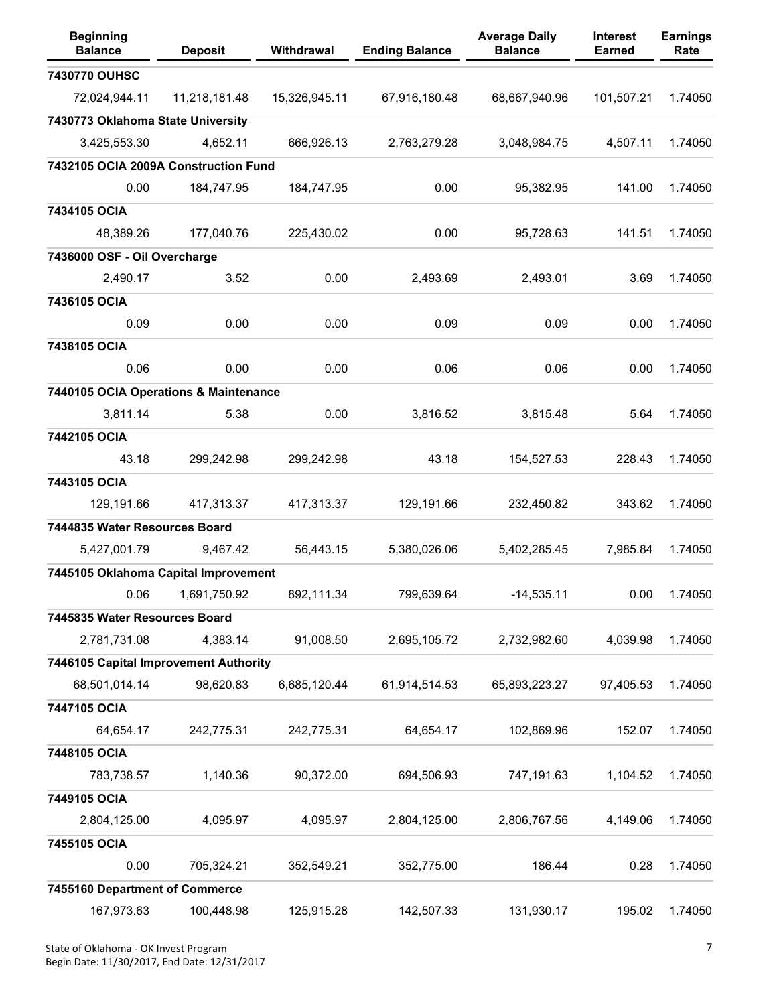| <b>Beginning</b><br><b>Balance</b>    | <b>Deposit</b> | Withdrawal    | <b>Ending Balance</b> | <b>Average Daily</b><br><b>Balance</b> | <b>Interest</b><br><b>Earned</b> | <b>Earnings</b><br>Rate |
|---------------------------------------|----------------|---------------|-----------------------|----------------------------------------|----------------------------------|-------------------------|
| 7430770 OUHSC                         |                |               |                       |                                        |                                  |                         |
| 72,024,944.11                         | 11,218,181.48  | 15,326,945.11 | 67,916,180.48         | 68,667,940.96                          | 101,507.21                       | 1.74050                 |
| 7430773 Oklahoma State University     |                |               |                       |                                        |                                  |                         |
| 3,425,553.30                          | 4,652.11       | 666,926.13    | 2,763,279.28          | 3,048,984.75                           | 4,507.11                         | 1.74050                 |
| 7432105 OCIA 2009A Construction Fund  |                |               |                       |                                        |                                  |                         |
| 0.00                                  | 184,747.95     | 184,747.95    | 0.00                  | 95,382.95                              | 141.00                           | 1.74050                 |
| 7434105 OCIA                          |                |               |                       |                                        |                                  |                         |
| 48,389.26                             | 177,040.76     | 225,430.02    | 0.00                  | 95,728.63                              | 141.51                           | 1.74050                 |
| 7436000 OSF - Oil Overcharge          |                |               |                       |                                        |                                  |                         |
| 2,490.17                              | 3.52           | 0.00          | 2,493.69              | 2,493.01                               | 3.69                             | 1.74050                 |
| 7436105 OCIA                          |                |               |                       |                                        |                                  |                         |
| 0.09                                  | 0.00           | 0.00          | 0.09                  | 0.09                                   | 0.00                             | 1.74050                 |
| 7438105 OCIA                          |                |               |                       |                                        |                                  |                         |
| 0.06                                  | 0.00           | 0.00          | 0.06                  | 0.06                                   | 0.00                             | 1.74050                 |
| 7440105 OCIA Operations & Maintenance |                |               |                       |                                        |                                  |                         |
| 3,811.14                              | 5.38           | 0.00          | 3,816.52              | 3,815.48                               | 5.64                             | 1.74050                 |
| 7442105 OCIA                          |                |               |                       |                                        |                                  |                         |
| 43.18                                 | 299,242.98     | 299,242.98    | 43.18                 | 154,527.53                             | 228.43                           | 1.74050                 |
| 7443105 OCIA                          |                |               |                       |                                        |                                  |                         |
| 129,191.66                            | 417,313.37     | 417,313.37    | 129,191.66            | 232,450.82                             | 343.62                           | 1.74050                 |
| 7444835 Water Resources Board         |                |               |                       |                                        |                                  |                         |
| 5,427,001.79                          | 9,467.42       | 56,443.15     | 5,380,026.06          | 5,402,285.45                           | 7,985.84                         | 1.74050                 |
| 7445105 Oklahoma Capital Improvement  |                |               |                       |                                        |                                  |                         |
| 0.06                                  | 1,691,750.92   | 892.111.34    | 799,639.64            | $-14,535.11$                           | 0.00                             | 1.74050                 |
| 7445835 Water Resources Board         |                |               |                       |                                        |                                  |                         |
| 2,781,731.08                          | 4,383.14       | 91,008.50     | 2,695,105.72          | 2,732,982.60                           | 4,039.98                         | 1.74050                 |
| 7446105 Capital Improvement Authority |                |               |                       |                                        |                                  |                         |
| 68,501,014.14                         | 98,620.83      | 6,685,120.44  | 61,914,514.53         | 65,893,223.27                          | 97,405.53                        | 1.74050                 |
| 7447105 OCIA                          |                |               |                       |                                        |                                  |                         |
| 64,654.17                             | 242,775.31     | 242,775.31    | 64,654.17             | 102,869.96                             | 152.07                           | 1.74050                 |
| 7448105 OCIA                          |                |               |                       |                                        |                                  |                         |
| 783,738.57                            | 1,140.36       | 90,372.00     | 694,506.93            | 747,191.63                             | 1,104.52                         | 1.74050                 |
| 7449105 OCIA                          |                |               |                       |                                        |                                  |                         |
| 2,804,125.00                          | 4,095.97       | 4,095.97      | 2,804,125.00          | 2,806,767.56                           | 4,149.06                         | 1.74050                 |
| 7455105 OCIA                          |                |               |                       |                                        |                                  |                         |
| 0.00                                  | 705,324.21     | 352,549.21    | 352,775.00            | 186.44                                 | 0.28                             | 1.74050                 |
| 7455160 Department of Commerce        |                |               |                       |                                        |                                  |                         |
| 167,973.63                            | 100,448.98     | 125,915.28    | 142,507.33            | 131,930.17                             | 195.02                           | 1.74050                 |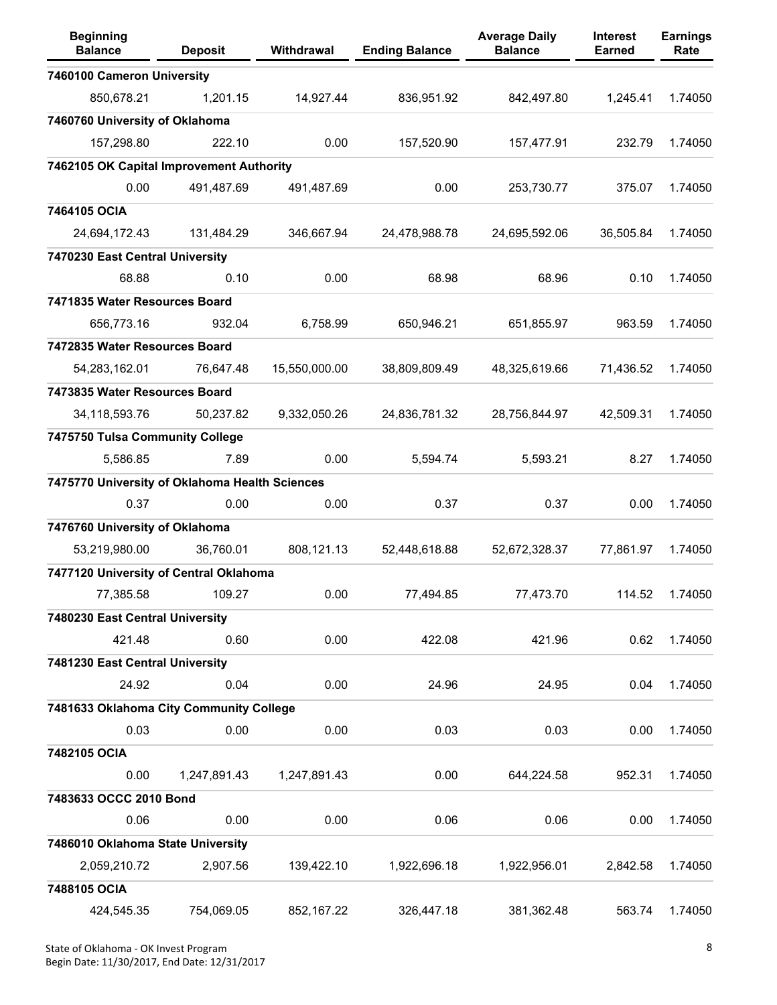| <b>Beginning</b><br><b>Balance</b>             | <b>Deposit</b> | Withdrawal    | <b>Ending Balance</b> | <b>Average Daily</b><br><b>Balance</b> | Interest<br><b>Earned</b> | <b>Earnings</b><br>Rate |
|------------------------------------------------|----------------|---------------|-----------------------|----------------------------------------|---------------------------|-------------------------|
| 7460100 Cameron University                     |                |               |                       |                                        |                           |                         |
| 850,678.21                                     | 1,201.15       | 14,927.44     | 836,951.92            | 842,497.80                             | 1,245.41                  | 1.74050                 |
| 7460760 University of Oklahoma                 |                |               |                       |                                        |                           |                         |
| 157,298.80                                     | 222.10         | 0.00          | 157,520.90            | 157,477.91                             | 232.79                    | 1.74050                 |
| 7462105 OK Capital Improvement Authority       |                |               |                       |                                        |                           |                         |
| 0.00                                           | 491,487.69     | 491,487.69    | 0.00                  | 253,730.77                             | 375.07                    | 1.74050                 |
| 7464105 OCIA                                   |                |               |                       |                                        |                           |                         |
| 24,694,172.43                                  | 131,484.29     | 346,667.94    | 24,478,988.78         | 24,695,592.06                          | 36,505.84                 | 1.74050                 |
| 7470230 East Central University                |                |               |                       |                                        |                           |                         |
| 68.88                                          | 0.10           | 0.00          | 68.98                 | 68.96                                  | 0.10                      | 1.74050                 |
| 7471835 Water Resources Board                  |                |               |                       |                                        |                           |                         |
| 656,773.16                                     | 932.04         | 6,758.99      | 650,946.21            | 651,855.97                             | 963.59                    | 1.74050                 |
| 7472835 Water Resources Board                  |                |               |                       |                                        |                           |                         |
| 54,283,162.01                                  | 76,647.48      | 15,550,000.00 | 38,809,809.49         | 48,325,619.66                          | 71,436.52                 | 1.74050                 |
| 7473835 Water Resources Board                  |                |               |                       |                                        |                           |                         |
| 34,118,593.76                                  | 50,237.82      | 9,332,050.26  | 24,836,781.32         | 28,756,844.97                          | 42,509.31                 | 1.74050                 |
| 7475750 Tulsa Community College                |                |               |                       |                                        |                           |                         |
| 5,586.85                                       | 7.89           | 0.00          | 5,594.74              | 5,593.21                               | 8.27                      | 1.74050                 |
| 7475770 University of Oklahoma Health Sciences |                |               |                       |                                        |                           |                         |
| 0.37                                           | 0.00           | 0.00          | 0.37                  | 0.37                                   | 0.00                      | 1.74050                 |
| 7476760 University of Oklahoma                 |                |               |                       |                                        |                           |                         |
| 53,219,980.00                                  | 36,760.01      | 808,121.13    | 52,448,618.88         | 52,672,328.37                          | 77,861.97                 | 1.74050                 |
| 7477120 University of Central Oklahoma         |                |               |                       |                                        |                           |                         |
| 77,385.58                                      | 109.27         | 0.00          | 77,494.85             | 77,473.70                              | 114.52                    | 1.74050                 |
| 7480230 East Central University                |                |               |                       |                                        |                           |                         |
| 421.48                                         | 0.60           | 0.00          | 422.08                | 421.96                                 | 0.62                      | 1.74050                 |
| 7481230 East Central University                |                |               |                       |                                        |                           |                         |
| 24.92                                          | 0.04           | 0.00          | 24.96                 | 24.95                                  | 0.04                      | 1.74050                 |
| 7481633 Oklahoma City Community College        |                |               |                       |                                        |                           |                         |
| 0.03                                           | 0.00           | 0.00          | 0.03                  | 0.03                                   | 0.00                      | 1.74050                 |
| 7482105 OCIA                                   |                |               |                       |                                        |                           |                         |
| 0.00                                           | 1,247,891.43   | 1,247,891.43  | 0.00                  | 644,224.58                             | 952.31                    | 1.74050                 |
| 7483633 OCCC 2010 Bond                         |                |               |                       |                                        |                           |                         |
| 0.06                                           | 0.00           | 0.00          | 0.06                  | 0.06                                   | 0.00                      | 1.74050                 |
| 7486010 Oklahoma State University              |                |               |                       |                                        |                           |                         |
| 2,059,210.72                                   | 2,907.56       | 139,422.10    | 1,922,696.18          | 1,922,956.01                           | 2,842.58                  | 1.74050                 |
| 7488105 OCIA                                   |                |               |                       |                                        |                           |                         |
| 424,545.35                                     | 754,069.05     | 852,167.22    | 326,447.18            | 381,362.48                             | 563.74                    | 1.74050                 |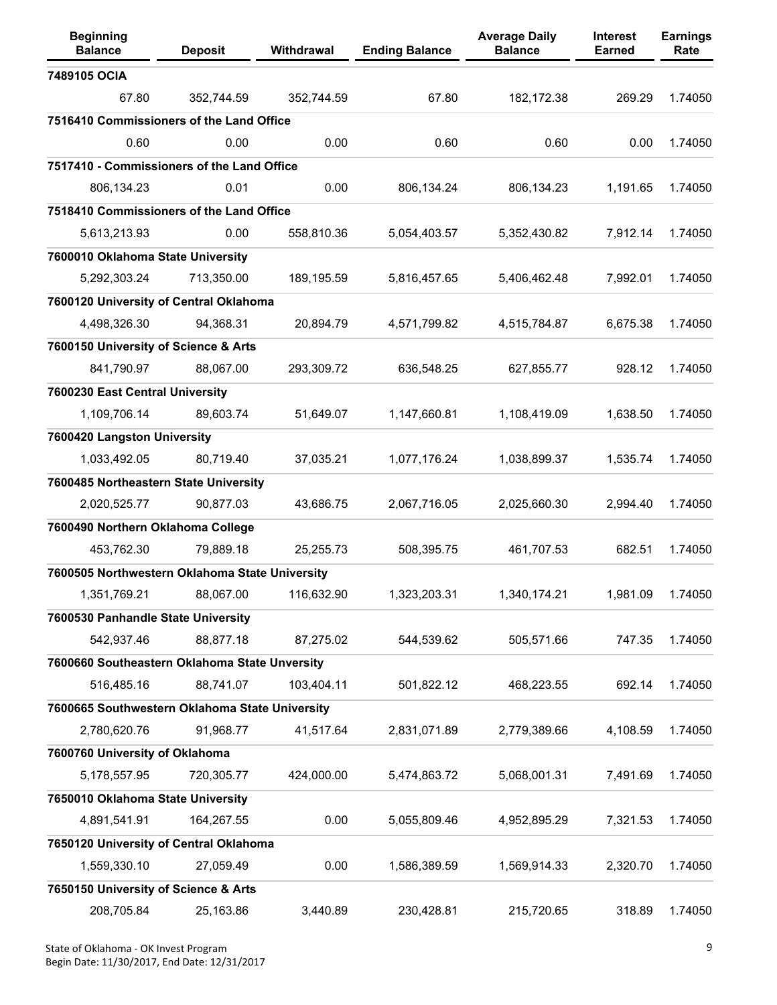| <b>Beginning</b><br><b>Balance</b>             | <b>Deposit</b> | Withdrawal | <b>Ending Balance</b> | <b>Average Daily</b><br><b>Balance</b> | <b>Interest</b><br><b>Earned</b> | <b>Earnings</b><br>Rate |
|------------------------------------------------|----------------|------------|-----------------------|----------------------------------------|----------------------------------|-------------------------|
| 7489105 OCIA                                   |                |            |                       |                                        |                                  |                         |
| 67.80                                          | 352,744.59     | 352,744.59 | 67.80                 | 182,172.38                             | 269.29                           | 1.74050                 |
| 7516410 Commissioners of the Land Office       |                |            |                       |                                        |                                  |                         |
| 0.60                                           | 0.00           | 0.00       | 0.60                  | 0.60                                   | 0.00                             | 1.74050                 |
| 7517410 - Commissioners of the Land Office     |                |            |                       |                                        |                                  |                         |
| 806,134.23                                     | 0.01           | 0.00       | 806,134.24            | 806,134.23                             | 1,191.65                         | 1.74050                 |
| 7518410 Commissioners of the Land Office       |                |            |                       |                                        |                                  |                         |
| 5,613,213.93                                   | 0.00           | 558,810.36 | 5,054,403.57          | 5,352,430.82                           | 7,912.14                         | 1.74050                 |
| 7600010 Oklahoma State University              |                |            |                       |                                        |                                  |                         |
| 5,292,303.24                                   | 713,350.00     | 189,195.59 | 5,816,457.65          | 5,406,462.48                           | 7,992.01                         | 1.74050                 |
| 7600120 University of Central Oklahoma         |                |            |                       |                                        |                                  |                         |
| 4,498,326.30                                   | 94,368.31      | 20,894.79  | 4,571,799.82          | 4,515,784.87                           | 6,675.38                         | 1.74050                 |
| 7600150 University of Science & Arts           |                |            |                       |                                        |                                  |                         |
| 841,790.97                                     | 88,067.00      | 293,309.72 | 636,548.25            | 627,855.77                             | 928.12                           | 1.74050                 |
| 7600230 East Central University                |                |            |                       |                                        |                                  |                         |
| 1,109,706.14                                   | 89,603.74      | 51,649.07  | 1,147,660.81          | 1,108,419.09                           | 1,638.50                         | 1.74050                 |
| 7600420 Langston University                    |                |            |                       |                                        |                                  |                         |
| 1,033,492.05                                   | 80,719.40      | 37,035.21  | 1,077,176.24          | 1,038,899.37                           | 1,535.74                         | 1.74050                 |
| 7600485 Northeastern State University          |                |            |                       |                                        |                                  |                         |
| 2,020,525.77                                   | 90,877.03      | 43,686.75  | 2,067,716.05          | 2,025,660.30                           | 2,994.40                         | 1.74050                 |
| 7600490 Northern Oklahoma College              |                |            |                       |                                        |                                  |                         |
| 453,762.30                                     | 79,889.18      | 25,255.73  | 508,395.75            | 461,707.53                             | 682.51                           | 1.74050                 |
| 7600505 Northwestern Oklahoma State University |                |            |                       |                                        |                                  |                         |
| 1,351,769.21                                   | 88,067.00      | 116,632.90 | 1,323,203.31          | 1,340,174.21                           | 1,981.09                         | 1.74050                 |
| 7600530 Panhandle State University             |                |            |                       |                                        |                                  |                         |
| 542,937.46                                     | 88,877.18      | 87,275.02  | 544,539.62            | 505,571.66                             | 747.35                           | 1.74050                 |
| 7600660 Southeastern Oklahoma State Unversity  |                |            |                       |                                        |                                  |                         |
| 516,485.16                                     | 88,741.07      | 103,404.11 | 501,822.12            | 468,223.55                             | 692.14                           | 1.74050                 |
| 7600665 Southwestern Oklahoma State University |                |            |                       |                                        |                                  |                         |
| 2,780,620.76                                   | 91,968.77      | 41,517.64  | 2,831,071.89          | 2,779,389.66                           | 4,108.59                         | 1.74050                 |
| 7600760 University of Oklahoma                 |                |            |                       |                                        |                                  |                         |
| 5,178,557.95                                   | 720,305.77     | 424,000.00 | 5,474,863.72          | 5,068,001.31                           | 7,491.69                         | 1.74050                 |
| 7650010 Oklahoma State University              |                |            |                       |                                        |                                  |                         |
| 4,891,541.91                                   | 164,267.55     | 0.00       | 5,055,809.46          | 4,952,895.29                           | 7,321.53                         | 1.74050                 |
| 7650120 University of Central Oklahoma         |                |            |                       |                                        |                                  |                         |
| 1,559,330.10                                   | 27,059.49      | 0.00       | 1,586,389.59          | 1,569,914.33                           | 2,320.70                         | 1.74050                 |
| 7650150 University of Science & Arts           |                |            |                       |                                        |                                  |                         |
| 208,705.84                                     | 25,163.86      | 3,440.89   | 230,428.81            | 215,720.65                             | 318.89                           | 1.74050                 |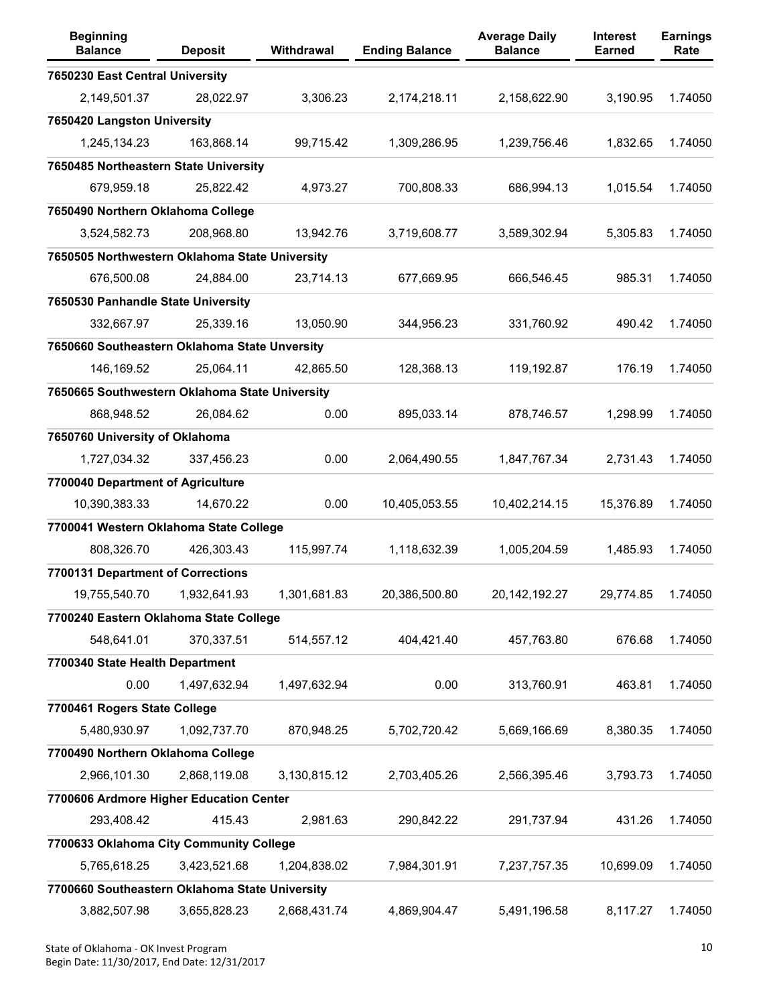| <b>Beginning</b><br><b>Balance</b>             | <b>Deposit</b> | Withdrawal   | <b>Ending Balance</b> | <b>Average Daily</b><br><b>Balance</b> | <b>Interest</b><br><b>Earned</b> | <b>Earnings</b><br>Rate |
|------------------------------------------------|----------------|--------------|-----------------------|----------------------------------------|----------------------------------|-------------------------|
| 7650230 East Central University                |                |              |                       |                                        |                                  |                         |
| 2,149,501.37                                   | 28,022.97      | 3,306.23     | 2,174,218.11          | 2,158,622.90                           | 3,190.95                         | 1.74050                 |
| 7650420 Langston University                    |                |              |                       |                                        |                                  |                         |
| 1,245,134.23                                   | 163,868.14     | 99,715.42    | 1,309,286.95          | 1,239,756.46                           | 1,832.65                         | 1.74050                 |
| 7650485 Northeastern State University          |                |              |                       |                                        |                                  |                         |
| 679,959.18                                     | 25,822.42      | 4,973.27     | 700,808.33            | 686,994.13                             | 1,015.54                         | 1.74050                 |
| 7650490 Northern Oklahoma College              |                |              |                       |                                        |                                  |                         |
| 3,524,582.73                                   | 208,968.80     | 13,942.76    | 3,719,608.77          | 3,589,302.94                           | 5,305.83                         | 1.74050                 |
| 7650505 Northwestern Oklahoma State University |                |              |                       |                                        |                                  |                         |
| 676,500.08                                     | 24,884.00      | 23,714.13    | 677,669.95            | 666,546.45                             | 985.31                           | 1.74050                 |
| 7650530 Panhandle State University             |                |              |                       |                                        |                                  |                         |
| 332,667.97                                     | 25,339.16      | 13,050.90    | 344,956.23            | 331,760.92                             | 490.42                           | 1.74050                 |
| 7650660 Southeastern Oklahoma State Unversity  |                |              |                       |                                        |                                  |                         |
| 146,169.52                                     | 25,064.11      | 42,865.50    | 128,368.13            | 119,192.87                             | 176.19                           | 1.74050                 |
| 7650665 Southwestern Oklahoma State University |                |              |                       |                                        |                                  |                         |
| 868,948.52                                     | 26,084.62      | 0.00         | 895,033.14            | 878,746.57                             | 1,298.99                         | 1.74050                 |
| 7650760 University of Oklahoma                 |                |              |                       |                                        |                                  |                         |
| 1,727,034.32                                   | 337,456.23     | 0.00         | 2,064,490.55          | 1,847,767.34                           | 2,731.43                         | 1.74050                 |
| 7700040 Department of Agriculture              |                |              |                       |                                        |                                  |                         |
| 10,390,383.33                                  | 14,670.22      | 0.00         | 10,405,053.55         | 10,402,214.15                          | 15,376.89                        | 1.74050                 |
| 7700041 Western Oklahoma State College         |                |              |                       |                                        |                                  |                         |
| 808,326.70                                     | 426,303.43     | 115,997.74   | 1,118,632.39          | 1,005,204.59                           | 1,485.93                         | 1.74050                 |
| 7700131 Department of Corrections              |                |              |                       |                                        |                                  |                         |
| 19,755,540.70                                  | 1,932,641.93   | 1,301,681.83 | 20.386.500.80         | 20, 142, 192. 27                       | 29,774.85                        | 1.74050                 |
| 7700240 Eastern Oklahoma State College         |                |              |                       |                                        |                                  |                         |
| 548,641.01                                     | 370,337.51     | 514,557.12   | 404,421.40            | 457,763.80                             | 676.68                           | 1.74050                 |
| 7700340 State Health Department                |                |              |                       |                                        |                                  |                         |
| 0.00                                           | 1,497,632.94   | 1,497,632.94 | 0.00                  | 313,760.91                             | 463.81                           | 1.74050                 |
| 7700461 Rogers State College                   |                |              |                       |                                        |                                  |                         |
| 5,480,930.97                                   | 1,092,737.70   | 870,948.25   | 5,702,720.42          | 5,669,166.69                           | 8,380.35                         | 1.74050                 |
| 7700490 Northern Oklahoma College              |                |              |                       |                                        |                                  |                         |
| 2,966,101.30                                   | 2,868,119.08   | 3,130,815.12 | 2,703,405.26          | 2,566,395.46                           | 3,793.73                         | 1.74050                 |
| 7700606 Ardmore Higher Education Center        |                |              |                       |                                        |                                  |                         |
| 293,408.42                                     | 415.43         | 2,981.63     | 290,842.22            | 291,737.94                             | 431.26                           | 1.74050                 |
| 7700633 Oklahoma City Community College        |                |              |                       |                                        |                                  |                         |
| 5,765,618.25                                   | 3,423,521.68   | 1,204,838.02 | 7,984,301.91          | 7,237,757.35                           | 10,699.09                        | 1.74050                 |
| 7700660 Southeastern Oklahoma State University |                |              |                       |                                        |                                  |                         |
| 3,882,507.98                                   | 3,655,828.23   | 2,668,431.74 | 4,869,904.47          | 5,491,196.58                           | 8,117.27                         | 1.74050                 |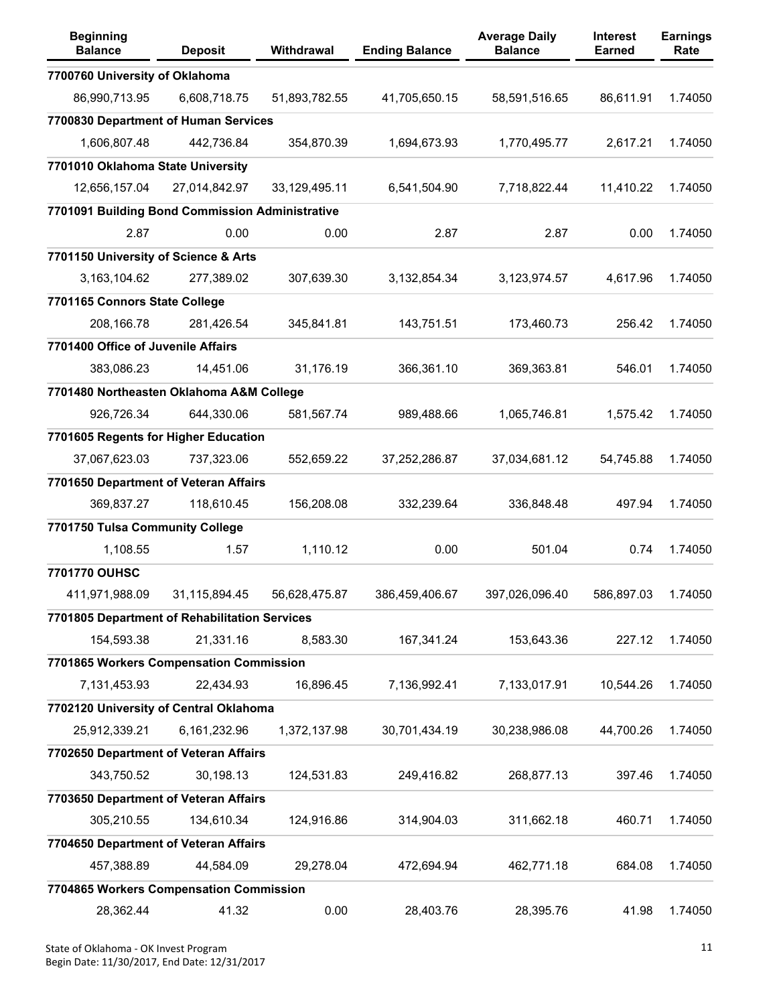| <b>Beginning</b><br><b>Balance</b>              | <b>Deposit</b> | Withdrawal    | <b>Ending Balance</b> | <b>Average Daily</b><br><b>Balance</b> | <b>Interest</b><br><b>Earned</b> | <b>Earnings</b><br>Rate |
|-------------------------------------------------|----------------|---------------|-----------------------|----------------------------------------|----------------------------------|-------------------------|
| 7700760 University of Oklahoma                  |                |               |                       |                                        |                                  |                         |
| 86,990,713.95                                   | 6.608.718.75   | 51,893,782.55 | 41,705,650.15         | 58,591,516.65                          | 86,611.91                        | 1.74050                 |
| 7700830 Department of Human Services            |                |               |                       |                                        |                                  |                         |
| 1,606,807.48                                    | 442,736.84     | 354,870.39    | 1,694,673.93          | 1,770,495.77                           | 2,617.21                         | 1.74050                 |
| 7701010 Oklahoma State University               |                |               |                       |                                        |                                  |                         |
| 12,656,157.04                                   | 27,014,842.97  | 33,129,495.11 | 6,541,504.90          | 7,718,822.44                           | 11,410.22                        | 1.74050                 |
| 7701091 Building Bond Commission Administrative |                |               |                       |                                        |                                  |                         |
| 2.87                                            | 0.00           | 0.00          | 2.87                  | 2.87                                   | 0.00                             | 1.74050                 |
| 7701150 University of Science & Arts            |                |               |                       |                                        |                                  |                         |
| 3,163,104.62                                    | 277,389.02     | 307,639.30    | 3,132,854.34          | 3,123,974.57                           | 4,617.96                         | 1.74050                 |
| 7701165 Connors State College                   |                |               |                       |                                        |                                  |                         |
| 208,166.78                                      | 281,426.54     | 345,841.81    | 143,751.51            | 173,460.73                             | 256.42                           | 1.74050                 |
| 7701400 Office of Juvenile Affairs              |                |               |                       |                                        |                                  |                         |
| 383,086.23                                      | 14,451.06      | 31,176.19     | 366,361.10            | 369,363.81                             | 546.01                           | 1.74050                 |
| 7701480 Northeasten Oklahoma A&M College        |                |               |                       |                                        |                                  |                         |
| 926,726.34                                      | 644,330.06     | 581,567.74    | 989,488.66            | 1,065,746.81                           | 1,575.42                         | 1.74050                 |
| 7701605 Regents for Higher Education            |                |               |                       |                                        |                                  |                         |
| 37,067,623.03                                   | 737,323.06     | 552,659.22    | 37,252,286.87         | 37,034,681.12                          | 54,745.88                        | 1.74050                 |
| 7701650 Department of Veteran Affairs           |                |               |                       |                                        |                                  |                         |
| 369,837.27                                      | 118,610.45     | 156,208.08    | 332,239.64            | 336,848.48                             | 497.94                           | 1.74050                 |
| 7701750 Tulsa Community College                 |                |               |                       |                                        |                                  |                         |
| 1,108.55                                        | 1.57           | 1,110.12      | 0.00                  | 501.04                                 | 0.74                             | 1.74050                 |
| 7701770 OUHSC                                   |                |               |                       |                                        |                                  |                         |
| 411,971,988.09                                  | 31,115,894.45  | 56,628,475.87 | 386,459,406.67        | 397,026,096.40                         | 586.897.03                       | 1.74050                 |
| 7701805 Department of Rehabilitation Services   |                |               |                       |                                        |                                  |                         |
| 154,593.38                                      | 21,331.16      | 8,583.30      | 167,341.24            | 153,643.36                             | 227.12                           | 1.74050                 |
| 7701865 Workers Compensation Commission         |                |               |                       |                                        |                                  |                         |
| 7,131,453.93                                    | 22,434.93      | 16,896.45     | 7,136,992.41          | 7,133,017.91                           | 10,544.26                        | 1.74050                 |
| 7702120 University of Central Oklahoma          |                |               |                       |                                        |                                  |                         |
| 25,912,339.21                                   | 6,161,232.96   | 1,372,137.98  | 30,701,434.19         | 30,238,986.08                          | 44,700.26                        | 1.74050                 |
| 7702650 Department of Veteran Affairs           |                |               |                       |                                        |                                  |                         |
| 343,750.52                                      | 30,198.13      | 124,531.83    | 249,416.82            | 268,877.13                             | 397.46                           | 1.74050                 |
| 7703650 Department of Veteran Affairs           |                |               |                       |                                        |                                  |                         |
| 305,210.55                                      | 134,610.34     | 124,916.86    | 314,904.03            | 311,662.18                             | 460.71                           | 1.74050                 |
| 7704650 Department of Veteran Affairs           |                |               |                       |                                        |                                  |                         |
| 457,388.89                                      | 44,584.09      | 29,278.04     | 472,694.94            | 462,771.18                             | 684.08                           | 1.74050                 |
| 7704865 Workers Compensation Commission         |                |               |                       |                                        |                                  |                         |
| 28,362.44                                       | 41.32          | 0.00          | 28,403.76             | 28,395.76                              | 41.98                            | 1.74050                 |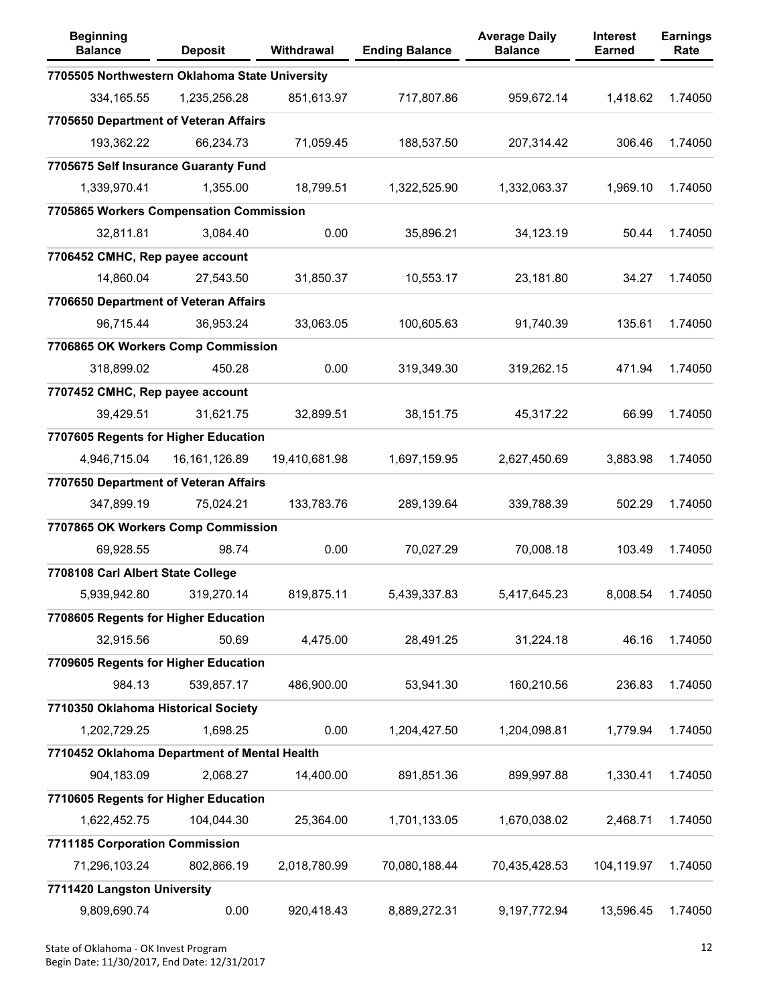| <b>Beginning</b><br><b>Balance</b>             | <b>Deposit</b>  | Withdrawal    | <b>Ending Balance</b> | <b>Average Daily</b><br><b>Balance</b> | <b>Interest</b><br><b>Earned</b> | <b>Earnings</b><br>Rate |
|------------------------------------------------|-----------------|---------------|-----------------------|----------------------------------------|----------------------------------|-------------------------|
| 7705505 Northwestern Oklahoma State University |                 |               |                       |                                        |                                  |                         |
| 334,165.55                                     | 1,235,256.28    | 851,613.97    | 717,807.86            | 959,672.14                             | 1,418.62                         | 1.74050                 |
| 7705650 Department of Veteran Affairs          |                 |               |                       |                                        |                                  |                         |
| 193,362.22                                     | 66,234.73       | 71,059.45     | 188,537.50            | 207,314.42                             | 306.46                           | 1.74050                 |
| 7705675 Self Insurance Guaranty Fund           |                 |               |                       |                                        |                                  |                         |
| 1,339,970.41                                   | 1,355.00        | 18,799.51     | 1,322,525.90          | 1,332,063.37                           | 1,969.10                         | 1.74050                 |
| 7705865 Workers Compensation Commission        |                 |               |                       |                                        |                                  |                         |
| 32,811.81                                      | 3,084.40        | 0.00          | 35,896.21             | 34,123.19                              | 50.44                            | 1.74050                 |
| 7706452 CMHC, Rep payee account                |                 |               |                       |                                        |                                  |                         |
| 14,860.04                                      | 27,543.50       | 31,850.37     | 10,553.17             | 23,181.80                              | 34.27                            | 1.74050                 |
| 7706650 Department of Veteran Affairs          |                 |               |                       |                                        |                                  |                         |
| 96,715.44                                      | 36,953.24       | 33,063.05     | 100,605.63            | 91,740.39                              | 135.61                           | 1.74050                 |
| 7706865 OK Workers Comp Commission             |                 |               |                       |                                        |                                  |                         |
| 318,899.02                                     | 450.28          | 0.00          | 319,349.30            | 319,262.15                             | 471.94                           | 1.74050                 |
| 7707452 CMHC, Rep payee account                |                 |               |                       |                                        |                                  |                         |
| 39,429.51                                      | 31,621.75       | 32,899.51     | 38,151.75             | 45,317.22                              | 66.99                            | 1.74050                 |
| 7707605 Regents for Higher Education           |                 |               |                       |                                        |                                  |                         |
| 4,946,715.04                                   | 16, 161, 126.89 | 19,410,681.98 | 1,697,159.95          | 2,627,450.69                           | 3,883.98                         | 1.74050                 |
| 7707650 Department of Veteran Affairs          |                 |               |                       |                                        |                                  |                         |
| 347,899.19                                     | 75,024.21       | 133,783.76    | 289,139.64            | 339,788.39                             | 502.29                           | 1.74050                 |
| 7707865 OK Workers Comp Commission             |                 |               |                       |                                        |                                  |                         |
| 69,928.55                                      | 98.74           | 0.00          | 70,027.29             | 70,008.18                              | 103.49                           | 1.74050                 |
| 7708108 Carl Albert State College              |                 |               |                       |                                        |                                  |                         |
| 5,939,942.80                                   | 319,270.14      | 819,875.11    | 5,439,337.83          | 5,417,645.23                           | 8,008.54                         | 1.74050                 |
| 7708605 Regents for Higher Education           |                 |               |                       |                                        |                                  |                         |
| 32,915.56                                      | 50.69           | 4,475.00      | 28,491.25             | 31,224.18                              | 46.16                            | 1.74050                 |
| 7709605 Regents for Higher Education           |                 |               |                       |                                        |                                  |                         |
| 984.13                                         | 539,857.17      | 486,900.00    | 53,941.30             | 160,210.56                             | 236.83                           | 1.74050                 |
| 7710350 Oklahoma Historical Society            |                 |               |                       |                                        |                                  |                         |
| 1,202,729.25                                   | 1,698.25        | 0.00          | 1,204,427.50          | 1,204,098.81                           | 1,779.94                         | 1.74050                 |
| 7710452 Oklahoma Department of Mental Health   |                 |               |                       |                                        |                                  |                         |
| 904,183.09                                     | 2,068.27        | 14,400.00     | 891,851.36            | 899,997.88                             | 1,330.41                         | 1.74050                 |
| 7710605 Regents for Higher Education           |                 |               |                       |                                        |                                  |                         |
| 1,622,452.75                                   | 104,044.30      | 25,364.00     | 1,701,133.05          | 1,670,038.02                           | 2,468.71                         | 1.74050                 |
| 7711185 Corporation Commission                 |                 |               |                       |                                        |                                  |                         |
| 71,296,103.24                                  | 802,866.19      | 2,018,780.99  | 70,080,188.44         | 70,435,428.53                          | 104,119.97                       | 1.74050                 |
| 7711420 Langston University                    |                 |               |                       |                                        |                                  |                         |
| 9,809,690.74                                   | 0.00            | 920,418.43    | 8,889,272.31          | 9,197,772.94                           | 13,596.45                        | 1.74050                 |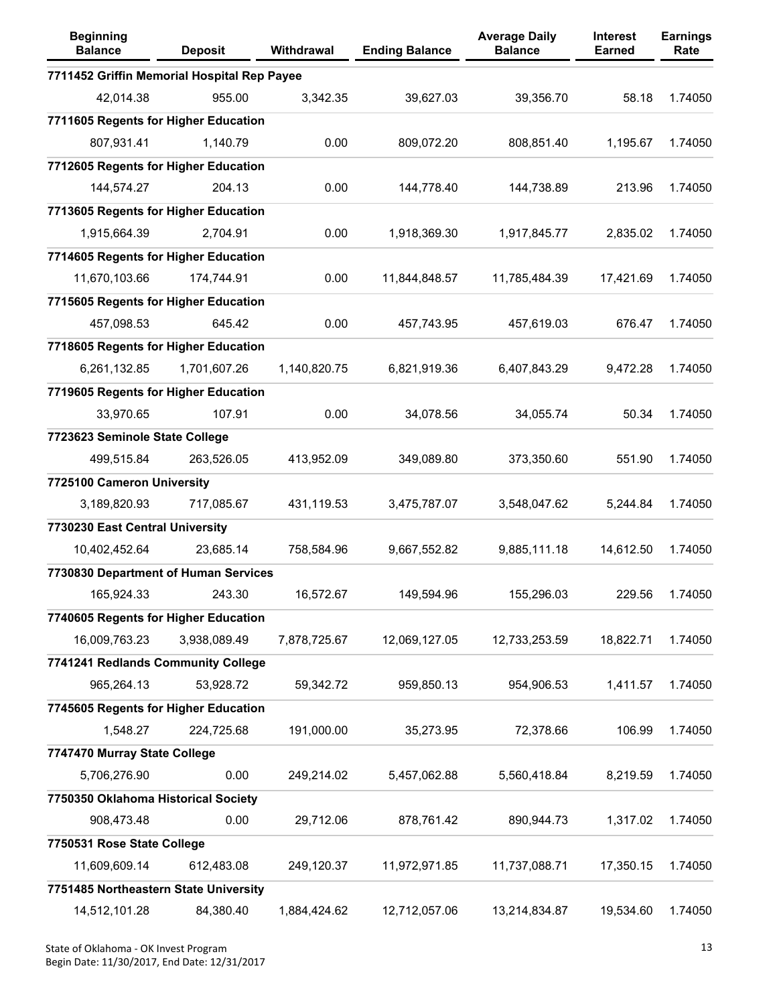| <b>Beginning</b><br><b>Balance</b>          | <b>Deposit</b> | Withdrawal   | <b>Ending Balance</b> | <b>Average Daily</b><br><b>Balance</b> | <b>Interest</b><br><b>Earned</b> | <b>Earnings</b><br>Rate |
|---------------------------------------------|----------------|--------------|-----------------------|----------------------------------------|----------------------------------|-------------------------|
| 7711452 Griffin Memorial Hospital Rep Payee |                |              |                       |                                        |                                  |                         |
| 42,014.38                                   | 955.00         | 3,342.35     | 39,627.03             | 39,356.70                              | 58.18                            | 1.74050                 |
| 7711605 Regents for Higher Education        |                |              |                       |                                        |                                  |                         |
| 807,931.41                                  | 1,140.79       | 0.00         | 809,072.20            | 808,851.40                             | 1,195.67                         | 1.74050                 |
| 7712605 Regents for Higher Education        |                |              |                       |                                        |                                  |                         |
| 144,574.27                                  | 204.13         | 0.00         | 144,778.40            | 144,738.89                             | 213.96                           | 1.74050                 |
| 7713605 Regents for Higher Education        |                |              |                       |                                        |                                  |                         |
| 1,915,664.39                                | 2,704.91       | 0.00         | 1,918,369.30          | 1,917,845.77                           | 2,835.02                         | 1.74050                 |
| 7714605 Regents for Higher Education        |                |              |                       |                                        |                                  |                         |
| 11,670,103.66                               | 174,744.91     | 0.00         | 11,844,848.57         | 11,785,484.39                          | 17,421.69                        | 1.74050                 |
| 7715605 Regents for Higher Education        |                |              |                       |                                        |                                  |                         |
| 457,098.53                                  | 645.42         | 0.00         | 457,743.95            | 457,619.03                             | 676.47                           | 1.74050                 |
| 7718605 Regents for Higher Education        |                |              |                       |                                        |                                  |                         |
| 6,261,132.85                                | 1,701,607.26   | 1,140,820.75 | 6,821,919.36          | 6,407,843.29                           | 9,472.28                         | 1.74050                 |
| 7719605 Regents for Higher Education        |                |              |                       |                                        |                                  |                         |
| 33,970.65                                   | 107.91         | 0.00         | 34,078.56             | 34,055.74                              | 50.34                            | 1.74050                 |
| 7723623 Seminole State College              |                |              |                       |                                        |                                  |                         |
| 499,515.84                                  | 263,526.05     | 413,952.09   | 349,089.80            | 373,350.60                             | 551.90                           | 1.74050                 |
| 7725100 Cameron University                  |                |              |                       |                                        |                                  |                         |
| 3,189,820.93                                | 717,085.67     | 431,119.53   | 3,475,787.07          | 3,548,047.62                           | 5,244.84                         | 1.74050                 |
| 7730230 East Central University             |                |              |                       |                                        |                                  |                         |
| 10,402,452.64                               | 23,685.14      | 758,584.96   | 9,667,552.82          | 9,885,111.18                           | 14,612.50                        | 1.74050                 |
| 7730830 Department of Human Services        |                |              |                       |                                        |                                  |                         |
| 165,924.33                                  | 243.30         | 16,572.67    | 149,594.96            | 155,296.03                             | 229.56                           | 1.74050                 |
| 7740605 Regents for Higher Education        |                |              |                       |                                        |                                  |                         |
| 16,009,763.23                               | 3,938,089.49   | 7,878,725.67 | 12,069,127.05         | 12,733,253.59                          | 18,822.71                        | 1.74050                 |
| 7741241 Redlands Community College          |                |              |                       |                                        |                                  |                         |
| 965,264.13                                  | 53,928.72      | 59,342.72    | 959,850.13            | 954,906.53                             | 1,411.57                         | 1.74050                 |
| 7745605 Regents for Higher Education        |                |              |                       |                                        |                                  |                         |
| 1,548.27                                    | 224,725.68     | 191,000.00   | 35,273.95             | 72,378.66                              | 106.99                           | 1.74050                 |
| 7747470 Murray State College                |                |              |                       |                                        |                                  |                         |
| 5,706,276.90                                | 0.00           | 249,214.02   | 5,457,062.88          | 5,560,418.84                           | 8,219.59                         | 1.74050                 |
| 7750350 Oklahoma Historical Society         |                |              |                       |                                        |                                  |                         |
| 908,473.48                                  | 0.00           | 29,712.06    | 878,761.42            | 890,944.73                             | 1,317.02                         | 1.74050                 |
| 7750531 Rose State College                  |                |              |                       |                                        |                                  |                         |
| 11,609,609.14                               | 612,483.08     | 249,120.37   | 11,972,971.85         | 11,737,088.71                          | 17,350.15                        | 1.74050                 |
| 7751485 Northeastern State University       |                |              |                       |                                        |                                  |                         |
| 14,512,101.28                               | 84,380.40      | 1,884,424.62 | 12,712,057.06         | 13,214,834.87                          | 19,534.60                        | 1.74050                 |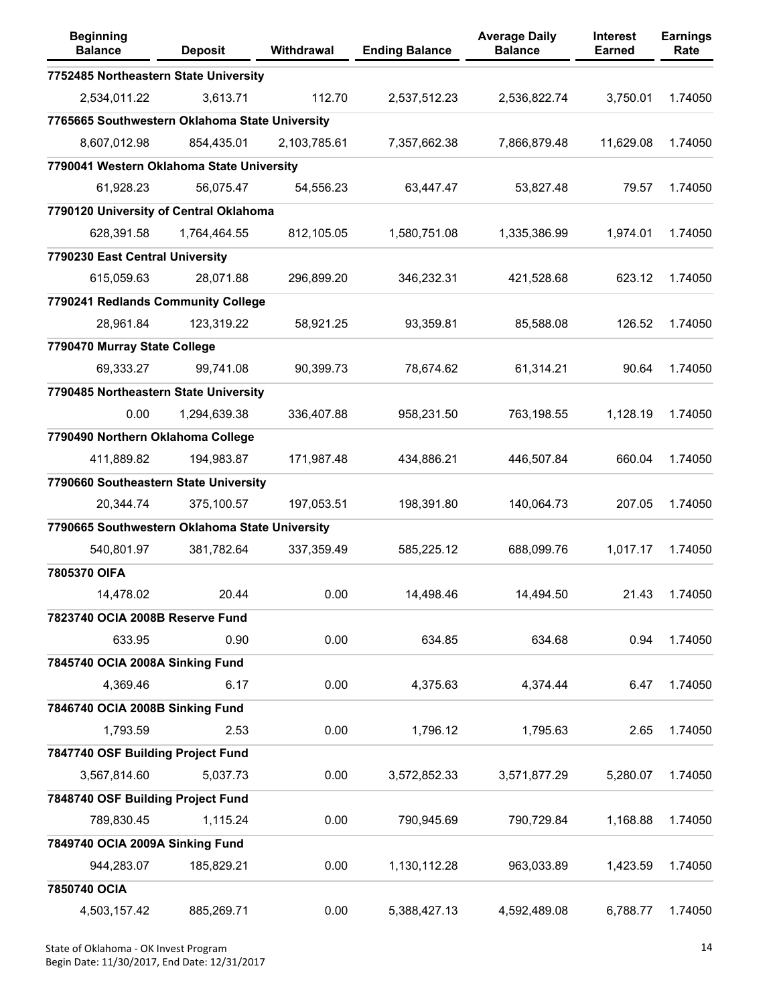| <b>Beginning</b><br><b>Balance</b>             | <b>Deposit</b> | Withdrawal   | <b>Ending Balance</b> | <b>Average Daily</b><br><b>Balance</b> | <b>Interest</b><br><b>Earned</b> | <b>Earnings</b><br>Rate |
|------------------------------------------------|----------------|--------------|-----------------------|----------------------------------------|----------------------------------|-------------------------|
| 7752485 Northeastern State University          |                |              |                       |                                        |                                  |                         |
| 2,534,011.22                                   | 3,613.71       | 112.70       | 2,537,512.23          | 2,536,822.74                           | 3,750.01                         | 1.74050                 |
| 7765665 Southwestern Oklahoma State University |                |              |                       |                                        |                                  |                         |
| 8,607,012.98                                   | 854,435.01     | 2,103,785.61 | 7,357,662.38          | 7,866,879.48                           | 11,629.08                        | 1.74050                 |
| 7790041 Western Oklahoma State University      |                |              |                       |                                        |                                  |                         |
| 61,928.23                                      | 56,075.47      | 54,556.23    | 63,447.47             | 53,827.48                              | 79.57                            | 1.74050                 |
| 7790120 University of Central Oklahoma         |                |              |                       |                                        |                                  |                         |
| 628,391.58                                     | 1,764,464.55   | 812,105.05   | 1,580,751.08          | 1,335,386.99                           | 1,974.01                         | 1.74050                 |
| 7790230 East Central University                |                |              |                       |                                        |                                  |                         |
| 615,059.63                                     | 28,071.88      | 296,899.20   | 346,232.31            | 421,528.68                             | 623.12                           | 1.74050                 |
| 7790241 Redlands Community College             |                |              |                       |                                        |                                  |                         |
| 28,961.84                                      | 123,319.22     | 58,921.25    | 93,359.81             | 85,588.08                              | 126.52                           | 1.74050                 |
| 7790470 Murray State College                   |                |              |                       |                                        |                                  |                         |
| 69,333.27                                      | 99,741.08      | 90,399.73    | 78,674.62             | 61,314.21                              | 90.64                            | 1.74050                 |
| 7790485 Northeastern State University          |                |              |                       |                                        |                                  |                         |
| 0.00                                           | 1,294,639.38   | 336,407.88   | 958,231.50            | 763,198.55                             | 1,128.19                         | 1.74050                 |
| 7790490 Northern Oklahoma College              |                |              |                       |                                        |                                  |                         |
| 411,889.82                                     | 194,983.87     | 171,987.48   | 434,886.21            | 446,507.84                             | 660.04                           | 1.74050                 |
| 7790660 Southeastern State University          |                |              |                       |                                        |                                  |                         |
| 20,344.74                                      | 375,100.57     | 197,053.51   | 198,391.80            | 140,064.73                             | 207.05                           | 1.74050                 |
| 7790665 Southwestern Oklahoma State University |                |              |                       |                                        |                                  |                         |
| 540,801.97                                     | 381,782.64     | 337,359.49   | 585,225.12            | 688,099.76                             | 1,017.17                         | 1.74050                 |
| 7805370 OIFA                                   |                |              |                       |                                        |                                  |                         |
| 14,478.02                                      | 20.44          | 0.00         | 14,498.46             | 14,494.50                              | 21.43                            | 1.74050                 |
| 7823740 OCIA 2008B Reserve Fund                |                |              |                       |                                        |                                  |                         |
| 633.95                                         | 0.90           | 0.00         | 634.85                | 634.68                                 | 0.94                             | 1.74050                 |
| 7845740 OCIA 2008A Sinking Fund                |                |              |                       |                                        |                                  |                         |
| 4,369.46                                       | 6.17           | 0.00         | 4,375.63              | 4,374.44                               | 6.47                             | 1.74050                 |
| 7846740 OCIA 2008B Sinking Fund                |                |              |                       |                                        |                                  |                         |
| 1,793.59                                       | 2.53           | 0.00         | 1,796.12              | 1,795.63                               | 2.65                             | 1.74050                 |
| 7847740 OSF Building Project Fund              |                |              |                       |                                        |                                  |                         |
| 3,567,814.60                                   | 5,037.73       | 0.00         | 3,572,852.33          | 3,571,877.29                           | 5,280.07                         | 1.74050                 |
| 7848740 OSF Building Project Fund              |                |              |                       |                                        |                                  |                         |
| 789,830.45                                     | 1,115.24       | 0.00         | 790,945.69            | 790,729.84                             | 1,168.88                         | 1.74050                 |
| 7849740 OCIA 2009A Sinking Fund                |                |              |                       |                                        |                                  |                         |
| 944,283.07                                     | 185,829.21     | 0.00         | 1,130,112.28          | 963,033.89                             | 1,423.59                         | 1.74050                 |
| 7850740 OCIA                                   |                |              |                       |                                        |                                  |                         |
| 4,503,157.42                                   | 885,269.71     | 0.00         | 5,388,427.13          | 4,592,489.08                           | 6,788.77                         | 1.74050                 |